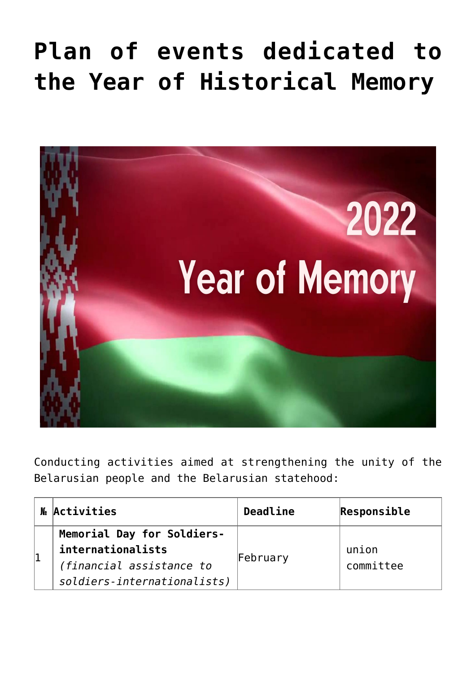## **[Plan of events dedicated to](https://ztem.by/en/news-and-media/god-istoricheskoy-pamyati-2/) [the Year of Historical Memory](https://ztem.by/en/news-and-media/god-istoricheskoy-pamyati-2/)**



Conducting activities aimed at strengthening the unity of the Belarusian people and the Belarusian statehood:

| Me Activities                                                                                              | Deadline | Responsible        |
|------------------------------------------------------------------------------------------------------------|----------|--------------------|
| Memorial Day for Soldiers-<br>internationalists<br>(financial assistance to<br>soldiers-internationalists) | February | union<br>committee |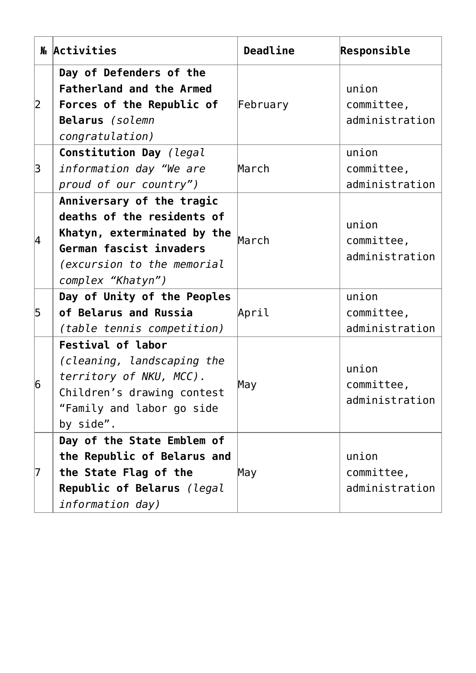|                | M Activities                                                                                                                                                         | Deadline | Responsible                           |
|----------------|----------------------------------------------------------------------------------------------------------------------------------------------------------------------|----------|---------------------------------------|
| 2              | Day of Defenders of the<br><b>Fatherland and the Armed</b><br>Forces of the Republic of<br>Belarus (solemn<br>congratulation)                                        | February | union<br>committee,<br>administration |
| 3              | Constitution Day (legal<br>information day "We are<br>proud of our country")                                                                                         | March    | union<br>committee,<br>administration |
| 4              | Anniversary of the tragic<br>deaths of the residents of<br>Khatyn, exterminated by the<br>German fascist invaders<br>(excursion to the memorial<br>complex "Khatyn") | March    | union<br>committee,<br>administration |
| 5              | Day of Unity of the Peoples<br>of Belarus and Russia<br>(table tennis competition)                                                                                   | April    | union<br>committee,<br>administration |
| $\overline{6}$ | <b>Festival of labor</b><br>(cleaning, landscaping the<br>territory of NKU, MCC).<br>Children's drawing contest<br>"Family and labor go side<br>by side".            | May      | union<br>committee,<br>administration |
| 17             | Day of the State Emblem of<br>the Republic of Belarus and<br>the State Flag of the<br>Republic of Belarus (legal<br>information day)                                 | May      | union<br>committee,<br>administration |